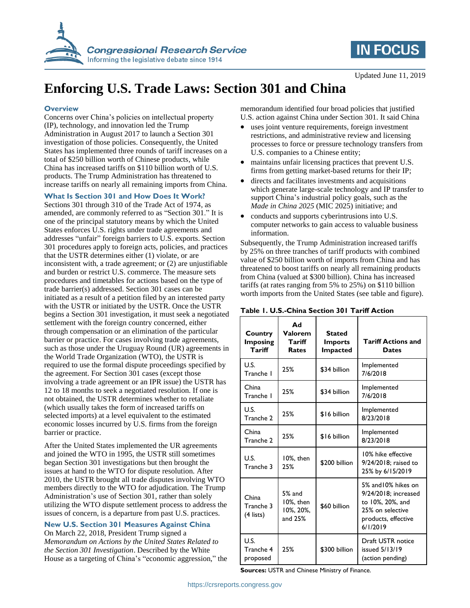

## **IN FOCUS**

Updated June 11, 2019

# **Enforcing U.S. Trade Laws: Section 301 and China**

#### **Overview**

Concerns over China's policies on intellectual property (IP), technology, and innovation led the Trump Administration in August 2017 to launch a Section 301 investigation of those policies. Consequently, the United States has implemented three rounds of tariff increases on a total of \$250 billion worth of Chinese products, while China has increased tariffs on \$110 billion worth of U.S. products. The Trump Administration has threatened to increase tariffs on nearly all remaining imports from China.

#### **What Is Section 301 and How Does It Work?**

Sections 301 through 310 of the Trade Act of 1974, as amended, are commonly referred to as "Section 301." It is one of the principal statutory means by which the United States enforces U.S. rights under trade agreements and addresses "unfair" foreign barriers to U.S. exports. Section 301 procedures apply to foreign acts, policies, and practices that the USTR determines either (1) violate, or are inconsistent with, a trade agreement; or (2) are unjustifiable and burden or restrict U.S. commerce. The measure sets procedures and timetables for actions based on the type of trade barrier(s) addressed. Section 301 cases can be initiated as a result of a petition filed by an interested party with the USTR or initiated by the USTR. Once the USTR begins a Section 301 investigation, it must seek a negotiated settlement with the foreign country concerned, either through compensation or an elimination of the particular barrier or practice. For cases involving trade agreements, such as those under the Uruguay Round (UR) agreements in the World Trade Organization (WTO), the USTR is required to use the formal dispute proceedings specified by the agreement. For Section 301 cases (except those involving a trade agreement or an IPR issue) the USTR has 12 to 18 months to seek a negotiated resolution. If one is not obtained, the USTR determines whether to retaliate (which usually takes the form of increased tariffs on selected imports) at a level equivalent to the estimated economic losses incurred by U.S. firms from the foreign barrier or practice.

After the United States implemented the UR agreements and joined the WTO in 1995, the USTR still sometimes began Section 301 investigations but then brought the issues at hand to the WTO for dispute resolution. After 2010, the USTR brought all trade disputes involving WTO members directly to the WTO for adjudication. The Trump Administration's use of Section 301, rather than solely utilizing the WTO dispute settlement process to address the issues of concern, is a departure from past U.S. practices.

#### **New U.S. Section 301 Measures Against China**

On March 22, 2018, President Trump signed a *Memorandum on Actions by the United States Related to the Section 301 Investigation*. Described by the White House as a targeting of China's "economic aggression," the memorandum identified four broad policies that justified U.S. action against China under Section 301. It said China

- uses joint venture requirements, foreign investment restrictions, and administrative review and licensing processes to force or pressure technology transfers from U.S. companies to a Chinese entity;
- maintains unfair licensing practices that prevent U.S. firms from getting market-based returns for their IP;
- directs and facilitates investments and acquisitions which generate large-scale technology and IP transfer to support China's industrial policy goals, such as the *Made in China 2025* (MIC 2025) initiative; and
- conducts and supports cyberintrusions into U.S. computer networks to gain access to valuable business information.

Subsequently, the Trump Administration increased tariffs by 25% on three tranches of tariff products with combined value of \$250 billion worth of imports from China and has threatened to boost tariffs on nearly all remaining products from China (valued at \$300 billion). China has increased tariffs (at rates ranging from 5% to 25%) on \$110 billion worth imports from the United States (see table and figure).

| Country<br><b>Imposing</b><br>Tariff | Ad<br>Valorem<br>Tariff<br>Rates              | <b>Stated</b><br><b>Imports</b><br><b>Impacted</b> | <b>Tariff Actions and</b><br><b>Dates</b>                                                                              |
|--------------------------------------|-----------------------------------------------|----------------------------------------------------|------------------------------------------------------------------------------------------------------------------------|
| U.S.<br>Tranche I                    | 25%                                           | \$34 billion                                       | Implemented<br>7/6/2018                                                                                                |
| China<br>Tranche I                   | 25%                                           | \$34 billion                                       | Implemented<br>7/6/2018                                                                                                |
| U.S.<br>Tranche 2                    | 25%                                           | \$16 billion                                       | Implemented<br>8/23/2018                                                                                               |
| China<br>Tranche 2                   | 25%                                           | \$16 billion                                       | Implemented<br>8/23/2018                                                                                               |
| U.S.<br>Tranche 3                    | 10%, then<br>25%                              | \$200 billion                                      | 10% hike effective<br>9/24/2018: raised to<br>25% by 6/15/2019                                                         |
| China<br>Tranche 3<br>$(4$ lists)    | $5%$ and<br>10%, then<br>10%, 20%,<br>and 25% | \$60 billion                                       | 5% and 10% hikes on<br>9/24/2018; increased<br>to 10%, 20%, and<br>25% on selective<br>products, effective<br>6/1/2019 |
| U.S.<br>Tranche 4<br>proposed        | 25%                                           | \$300 billion                                      | Draft USTR notice<br>issued 5/13/19<br>(action pending)                                                                |

#### **Table 1. U.S.-China Section 301 Tariff Action**

**Sources:** USTR and Chinese Ministry of Finance.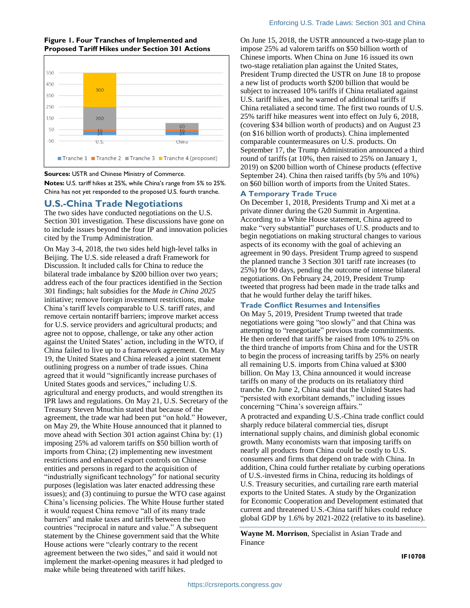#### **Figure 1. Four Tranches of Implemented and Proposed Tariff Hikes under Section 301 Actions**



#### **Sources:** USTR and Chinese Ministry of Commerce.

**Notes:** U.S. tariff hikes at 25%, while China's range from 5% to 25%. China has not yet responded to the proposed U.S. fourth tranche.

#### **U.S.-China Trade Negotiations**

The two sides have conducted negotiations on the U.S. Section 301 investigation. These discussions have gone on to include issues beyond the four IP and innovation policies cited by the Trump Administration.

On May 3-4, 2018, the two sides held high-level talks in Beijing. The U.S. side released a draft Framework for Discussion. It included calls for China to reduce the bilateral trade imbalance by \$200 billion over two years; address each of the four practices identified in the Section 301 findings; halt subsidies for the *Made in China 2025* initiative; remove foreign investment restrictions, make China's tariff levels comparable to U.S. tariff rates, and remove certain nontariff barriers; improve market access for U.S. service providers and agricultural products; and agree not to oppose, challenge, or take any other action against the United States' action, including in the WTO, if China failed to live up to a framework agreement. On May 19, the United States and China released a joint statement outlining progress on a number of trade issues. China agreed that it would "significantly increase purchases of United States goods and services," including U.S. agricultural and energy products, and would strengthen its IPR laws and regulations. On May 21, U.S. Secretary of the Treasury Steven Mnuchin stated that because of the agreement, the trade war had been put "on hold." However, on May 29, the White House announced that it planned to move ahead with Section 301 action against China by: (1) imposing 25% ad valorem tariffs on \$50 billion worth of imports from China; (2) implementing new investment restrictions and enhanced export controls on Chinese entities and persons in regard to the acquisition of "industrially significant technology" for national security purposes (legislation was later enacted addressing these issues); and (3) continuing to pursue the WTO case against China's licensing policies. The White House further stated it would request China remove "all of its many trade barriers" and make taxes and tariffs between the two countries "reciprocal in nature and value." A subsequent statement by the Chinese government said that the White House actions were "clearly contrary to the recent agreement between the two sides," and said it would not implement the market-opening measures it had pledged to make while being threatened with tariff hikes.

On June 15, 2018, the USTR announced a two-stage plan to impose 25% ad valorem tariffs on \$50 billion worth of Chinese imports. When China on June 16 issued its own two-stage retaliation plan against the United States, President Trump directed the USTR on June 18 to propose a new list of products worth \$200 billion that would be subject to increased 10% tariffs if China retaliated against U.S. tariff hikes, and he warned of additional tariffs if China retaliated a second time. The first two rounds of U.S. 25% tariff hike measures went into effect on July 6, 2018, (covering \$34 billion worth of products) and on August 23 (on \$16 billion worth of products). China implemented comparable countermeasures on U.S. products. On September 17, the Trump Administration announced a third round of tariffs (at 10%, then raised to 25% on January 1, 2019) on \$200 billion worth of Chinese products (effective September 24). China then raised tariffs (by 5% and 10%) on \$60 billion worth of imports from the United States.

#### **A Temporary Trade Truce**

On December 1, 2018, Presidents Trump and Xi met at a private dinner during the G20 Summit in Argentina. According to a White House statement, China agreed to make "very substantial" purchases of U.S. products and to begin negotiations on making structural changes to various aspects of its economy with the goal of achieving an agreement in 90 days. President Trump agreed to suspend the planned tranche 3 Section 301 tariff rate increases (to 25%) for 90 days, pending the outcome of intense bilateral negotiations. On February 24, 2019, President Trump tweeted that progress had been made in the trade talks and that he would further delay the tariff hikes.

#### **Trade Conflict Resumes and Intensifies**

On May 5, 2019, President Trump tweeted that trade negotiations were going "too slowly" and that China was attempting to "renegotiate" previous trade commitments. He then ordered that tariffs be raised from 10% to 25% on the third tranche of imports from China and for the USTR to begin the process of increasing tariffs by 25% on nearly all remaining U.S. imports from China valued at \$300 billion. On May 13, China announced it would increase tariffs on many of the products on its retaliatory third tranche. On June 2, China said that the United States had "persisted with exorbitant demands," including issues concerning "China's sovereign affairs."

A protracted and expanding U.S.-China trade conflict could sharply reduce bilateral commercial ties, disrupt international supply chains, and diminish global economic growth. Many economists warn that imposing tariffs on nearly all products from China could be costly to U.S. consumers and firms that depend on trade with China. In addition, China could further retaliate by curbing operations of U.S.-invested firms in China, reducing its holdings of U.S. Treasury securities, and curtailing rare earth material exports to the United States. A study by the Organization for Economic Cooperation and Development estimated that current and threatened U.S.-China tariff hikes could reduce global GDP by 1.6% by 2021-2022 (relative to its baseline).

**Wayne M. Morrison**, Specialist in Asian Trade and Finance